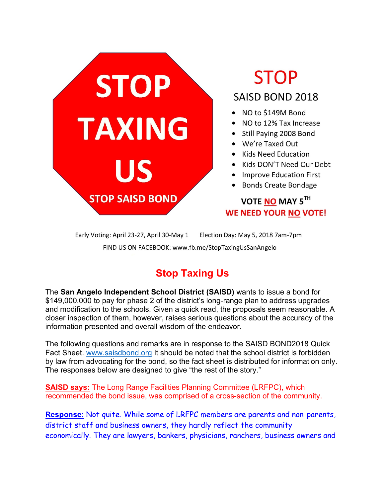

# **STOP SAISD BOND 2018**

- NO to \$149M Bond
- NO to 12% Tax Increase
- Still Paying 2008 Bond
- We're Taxed Out
- Kids Need Education
- Kids DON'T Need Our Debt
- Improve Education First
- Bonds Create Bondage

## VOTE NO MAY 5TH **WE NEED YOUR NO VOTE!**

Early Voting: April 23-27, April 30-May 1 Election Day: May 5, 2018 7am-7pm FIND US ON FACEBOOK: www.fb.me/StopTaxingUsSanAngelo

# **Stop Taxing Us**

The **San Angelo Independent School District (SAISD)** wants to issue a bond for \$149,000,000 to pay for phase 2 of the district's long-range plan to address upgrades and modification to the schools. Given a quick read, the proposals seem reasonable. A closer inspection of them, however, raises serious questions about the accuracy of the information presented and overall wisdom of the endeavor.

The following questions and remarks are in response to the SAISD BOND2018 Quick Fact Sheet. www.saisdbond.org It should be noted that the school district is forbidden by law from advocating for the bond, so the fact sheet is distributed for information only. The responses below are designed to give "the rest of the story."

**SAISD says:** The Long Range Facilities Planning Committee (LRFPC), which recommended the bond issue, was comprised of a cross-section of the community.

**Response:** Not quite. While some of LRFPC members are parents and non-parents, district staff and business owners, they hardly reflect the community economically. They are lawyers, bankers, physicians, ranchers, business owners and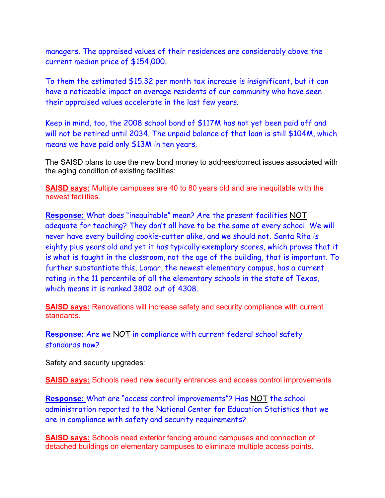managers. The appraised values of their residences are considerably above the current median price of \$154,000.

To them the estimated \$15.32 per month tax increase is insignificant, but it can have a noticeable impact on average residents of our community who have seen their appraised values accelerate in the last few years.

Keep in mind, too, the 2008 school bond of \$117M has not yet been paid off and will not be retired until 2034. The unpaid balance of that loan is still \$104M, which means we have paid only \$13M in ten years.

The SAISD plans to use the new bond money to address/correct issues associated with the aging condition of existing facilities:

**SAISD says:** Multiple campuses are 40 to 80 years old and are inequitable with the newest facilities.

**Response:** What does "inequitable" mean? Are the present facilities NOT adequate for teaching? They don't all have to be the same at every school. We will never have every building cookie-cutter alike, and we should not. Santa Rita is eighty plus years old and yet it has typically exemplary scores, which proves that it is what is taught in the classroom, not the age of the building, that is important. To further substantiate this, Lamar, the newest elementary campus, has a current rating in the 11 percentile of all the elementary schools in the state of Texas, which means it is ranked 3802 out of 4308.

**SAISD says:** Renovations will increase safety and security compliance with current standards.

**Response:** Are we NOT in compliance with current federal school safety standards now?

Safety and security upgrades:

**SAISD says:** Schools need new security entrances and access control improvements

**Response:** What are "access control improvements"? Has NOT the school administration reported to the National Center for Education Statistics that we are in compliance with safety and security requirements?

**SAISD says:** Schools need exterior fencing around campuses and connection of detached buildings on elementary campuses to eliminate multiple access points.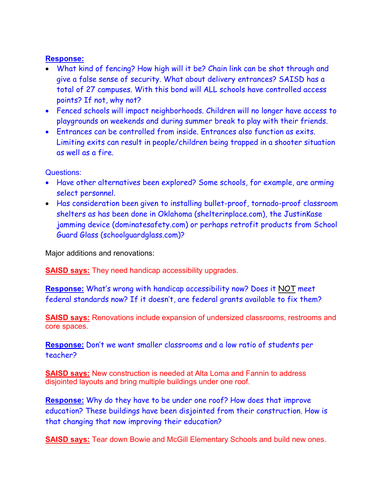#### **Response:**

- What kind of fencing? How high will it be? Chain link can be shot through and give a false sense of security. What about delivery entrances? SAISD has a total of 27 campuses. With this bond will ALL schools have controlled access points? If not, why not?
- Fenced schools will impact neighborhoods. Children will no longer have access to playgrounds on weekends and during summer break to play with their friends.
- Entrances can be controlled from inside. Entrances also function as exits. Limiting exits can result in people/children being trapped in a shooter situation as well as a fire.

Questions:

- Have other alternatives been explored? Some schools, for example, are arming select personnel.
- Has consideration been given to installing bullet-proof, tornado-proof classroom shelters as has been done in Oklahoma (shelterinplace.com), the JustinKase jamming device (dominatesafety.com) or perhaps retrofit products from School Guard Glass (schoolguardglass.com)?

Major additions and renovations:

**SAISD says:** They need handicap accessibility upgrades.

**Response:** What's wrong with handicap accessibility now? Does it NOT meet federal standards now? If it doesn't, are federal grants available to fix them?

**SAISD says:** Renovations include expansion of undersized classrooms, restrooms and core spaces.

**Response:** Don't we want smaller classrooms and a low ratio of students per teacher?

**SAISD says:** New construction is needed at Alta Loma and Fannin to address disjointed layouts and bring multiple buildings under one roof.

**Response:** Why do they have to be under one roof? How does that improve education? These buildings have been disjointed from their construction. How is that changing that now improving their education?

**SAISD says:** Tear down Bowie and McGill Elementary Schools and build new ones.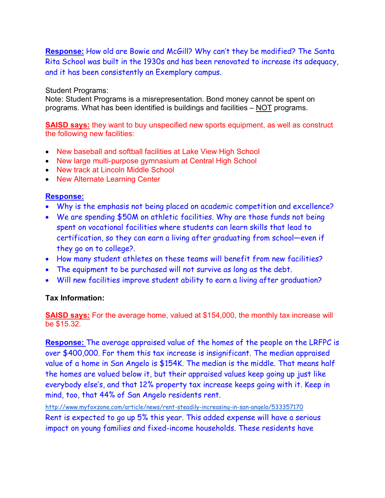**Response:** How old are Bowie and McGill? Why can't they be modified? The Santa Rita School was built in the 1930s and has been renovated to increase its adequacy, and it has been consistently an Exemplary campus.

#### Student Programs:

Note: Student Programs is a misrepresentation. Bond money cannot be spent on programs. What has been identified is buildings and facilities – NOT programs.

**SAISD says:** they want to buy unspecified new sports equipment, as well as construct the following new facilities:

- New baseball and softball facilities at Lake View High School
- New large multi-purpose gymnasium at Central High School
- New track at Lincoln Middle School
- New Alternate Learning Center

#### **Response:**

- Why is the emphasis not being placed on academic competition and excellence?
- We are spending \$50M on athletic facilities. Why are those funds not being spent on vocational facilities where students can learn skills that lead to certification, so they can earn a living after graduating from school—even if they go on to college?.
- How many student athletes on these teams will benefit from new facilities?
- The equipment to be purchased will not survive as long as the debt.
- Will new facilities improve student ability to earn a living after graduation?

#### **Tax Information:**

**SAISD says:** For the average home, valued at \$154,000, the monthly tax increase will be \$15.32.

**Response:** The average appraised value of the homes of the people on the LRFPC is over \$400,000. For them this tax increase is insignificant. The median appraised value of a home in San Angelo is \$154K. The median is the middle. That means half the homes are valued below it, but their appraised values keep going up just like everybody else's, and that 12% property tax increase keeps going with it. Keep in mind, too, that 44% of San Angelo residents rent.

http://www.myfoxzone.com/article/news/rent-steadily-increasing-in-san-angelo/533357170 Rent is expected to go up 5% this year. This added expense will have a serious impact on young families and fixed-income households. These residents have